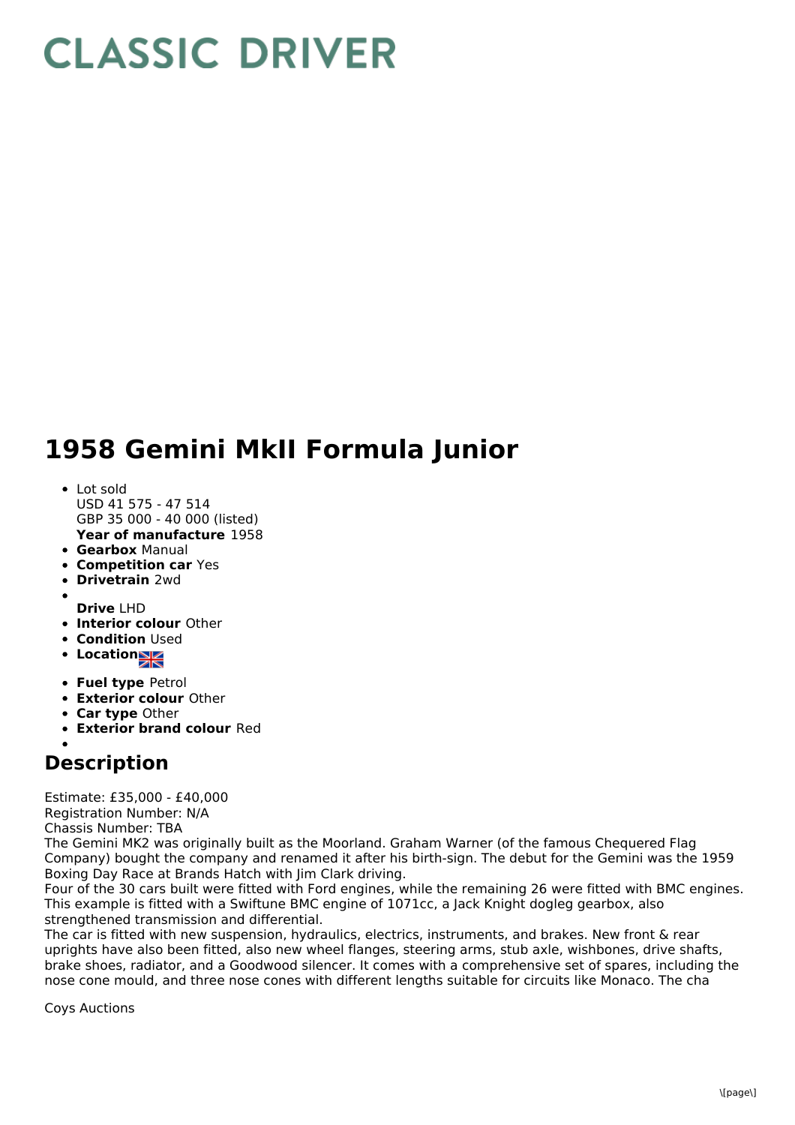## **CLASSIC DRIVER**

## **1958 Gemini MkII Formula Junior**

- **Year of manufacture** 1958 • Lot sold USD 41 575 - 47 514 GBP 35 000 - 40 000 (listed)
- **Gearbox** Manual
- **Competition car** Yes
- **Drivetrain** 2wd
- 
- **Drive** LHD
- **Interior colour** Other
- **Condition** Used
- Location<sub>a</sub>
- **Fuel type** Petrol
- **Exterior colour** Other
- **Car type** Other
- **Exterior brand colour** Red

## **Description**

Estimate: £35,000 - £40,000

Registration Number: N/A

Chassis Number: TBA

The Gemini MK2 was originally built as the Moorland. Graham Warner (of the famous Chequered Flag Company) bought the company and renamed it after his birth-sign. The debut for the Gemini was the 1959 Boxing Day Race at Brands Hatch with Jim Clark driving.

Four of the 30 cars built were fitted with Ford engines, while the remaining 26 were fitted with BMC engines. This example is fitted with a Swiftune BMC engine of 1071cc, a Jack Knight dogleg gearbox, also strengthened transmission and differential.

The car is fitted with new suspension, hydraulics, electrics, instruments, and brakes. New front & rear uprights have also been fitted, also new wheel flanges, steering arms, stub axle, wishbones, drive shafts, brake shoes, radiator, and a Goodwood silencer. It comes with a comprehensive set of spares, including the nose cone mould, and three nose cones with different lengths suitable for circuits like Monaco. The cha

Coys Auctions